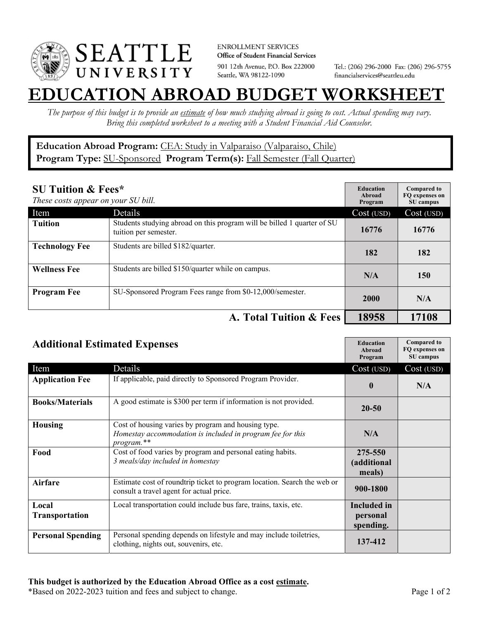

**ENROLLMENT SERVICES** Office of Student Financial Services 901 12th Avenue, P.O. Box 222000 Seattle, WA 98122-1090

Tel.: (206) 296-2000 Fax: (206) 296-5755 financialservices@seattleu.edu

## **EATION ABROAD BUDGET WORKSHEE**

*The purpose of this budget is to provide an estimate of how much studying abroad is going to cost. Actual spending may vary. Bring this completed worksheet to a meeting with a Student Financial Aid Counselor.* 

## **Education Abroad Program:** CEA: Study in Valparaiso (Valparaiso, Chile) Program Type: **SU-Sponsored** Program Term(s): **Fall Semester (Fall Quarter)**

| <b>SU Tuition &amp; Fees*</b><br>These costs appear on your SU bill. |                                                                                                  | <b>Education</b><br>Abroad<br>Program | <b>Compared to</b><br>FO expenses on<br>SU campus |
|----------------------------------------------------------------------|--------------------------------------------------------------------------------------------------|---------------------------------------|---------------------------------------------------|
| Item                                                                 | Details                                                                                          | Cost (USD)                            | Cost (USD)                                        |
| <b>Tuition</b>                                                       | Students studying abroad on this program will be billed 1 quarter of SU<br>tuition per semester. | 16776                                 | 16776                                             |
| <b>Technology Fee</b>                                                | Students are billed \$182/quarter.                                                               | 182                                   | 182                                               |
| <b>Wellness Fee</b>                                                  | Students are billed \$150/quarter while on campus.                                               | N/A                                   | 150                                               |
| <b>Program Fee</b>                                                   | SU-Sponsored Program Fees range from \$0-12,000/semester.                                        | 2000                                  | N/A                                               |
|                                                                      | A. Total Tuition & Fees                                                                          | 18958                                 | 17108                                             |

| <b>Additional Estimated Expenses</b> |                                                                                                                                 | <b>Education</b><br>Abroad<br>Program | <b>Compared to</b><br>FQ expenses on<br>SU campus |
|--------------------------------------|---------------------------------------------------------------------------------------------------------------------------------|---------------------------------------|---------------------------------------------------|
| Item                                 | Details                                                                                                                         | Cost (USD)                            | Cost (USD)                                        |
| <b>Application Fee</b>               | If applicable, paid directly to Sponsored Program Provider.                                                                     | $\bf{0}$                              | N/A                                               |
| <b>Books/Materials</b>               | A good estimate is \$300 per term if information is not provided.                                                               | 20-50                                 |                                                   |
| <b>Housing</b>                       | Cost of housing varies by program and housing type.<br>Homestay accommodation is included in program fee for this<br>program.** | N/A                                   |                                                   |
| Food                                 | Cost of food varies by program and personal eating habits.<br>3 meals/day included in homestay                                  | 275-550<br>(additional<br>meals)      |                                                   |
| <b>Airfare</b>                       | Estimate cost of roundtrip ticket to program location. Search the web or<br>consult a travel agent for actual price.            | 900-1800                              |                                                   |
| Local<br>Transportation              | Local transportation could include bus fare, trains, taxis, etc.                                                                | Included in<br>personal<br>spending.  |                                                   |
| <b>Personal Spending</b>             | Personal spending depends on lifestyle and may include toiletries,<br>clothing, nights out, souvenirs, etc.                     | 137-412                               |                                                   |